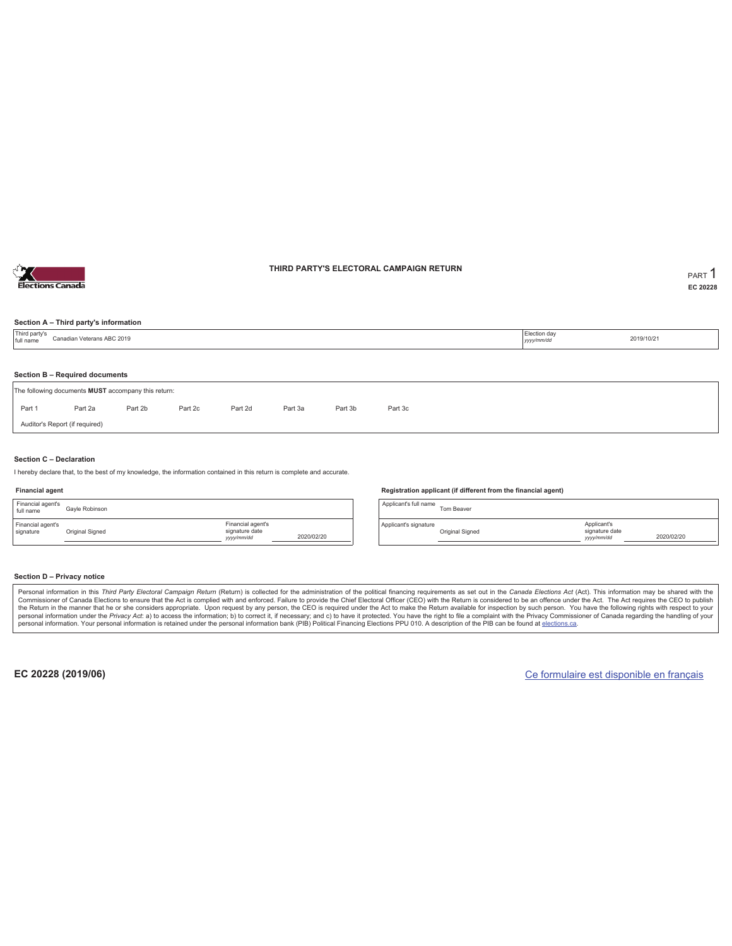

### **THIRD PARTY'S ELECTORAL CAMPAIGN RETURN PART** 1

**EC 20228**

### **Section A – Third party's information**

| Section B - Required documents<br>Part 2b<br>Part 2d<br>Part 3b<br>Part 1<br>Part 2a<br>Part 2c<br>Part 3a<br>Part 3c | Third party's<br>full name | Election day<br>Canadian Veterans ABC 2019<br>2019/10/21<br>yyyy/mm/dd |  |  |  |  |  |  |  |  |  |  |  |
|-----------------------------------------------------------------------------------------------------------------------|----------------------------|------------------------------------------------------------------------|--|--|--|--|--|--|--|--|--|--|--|
| The following documents MUST accompany this return:                                                                   |                            |                                                                        |  |  |  |  |  |  |  |  |  |  |  |
|                                                                                                                       |                            |                                                                        |  |  |  |  |  |  |  |  |  |  |  |
|                                                                                                                       |                            |                                                                        |  |  |  |  |  |  |  |  |  |  |  |
| Auditor's Report (if required)                                                                                        |                            |                                                                        |  |  |  |  |  |  |  |  |  |  |  |

### **Section C – Declaration**

I hereby declare that, to the best of my knowledge, the information contained in this return is complete and accurate.

#### **Financial agent**

| Financial agent's<br>full name | Gavle Robinson  |                                                  |            |
|--------------------------------|-----------------|--------------------------------------------------|------------|
| Financial agent's<br>signature | Original Signed | Financial agent's<br>signature date<br>yyy/mm/dd | 2020/02/20 |

#### **Registration applicant (if different from the financial agent)**

Applicant's full name<br>Tom Beaver Applicant's signature Original Signed Applicant's signature date *yyyy/mm/dd* 2020/02/20

### **Section D – Privacy notice**

Personal information in this Third Party Electoral Campaign Return (Return) is collected for the administration of the political financing requirements as set out in the Canada Elections Act (Act). This information may be Commissioner of Canada Elections to ensure that the Act is complied with and enforced. Failure to provide the Chief Electoral Officer (CEO) with the Return is considered to be an offence under the Act. The Act requires the personal information. Your personal information is retained under the personal information bank (PIB) Political Financing Elections PPU 010. A description of the PIB can be found at elections.ca.

**EC 20228 (2019/06)** Ce formulaire est disponible en français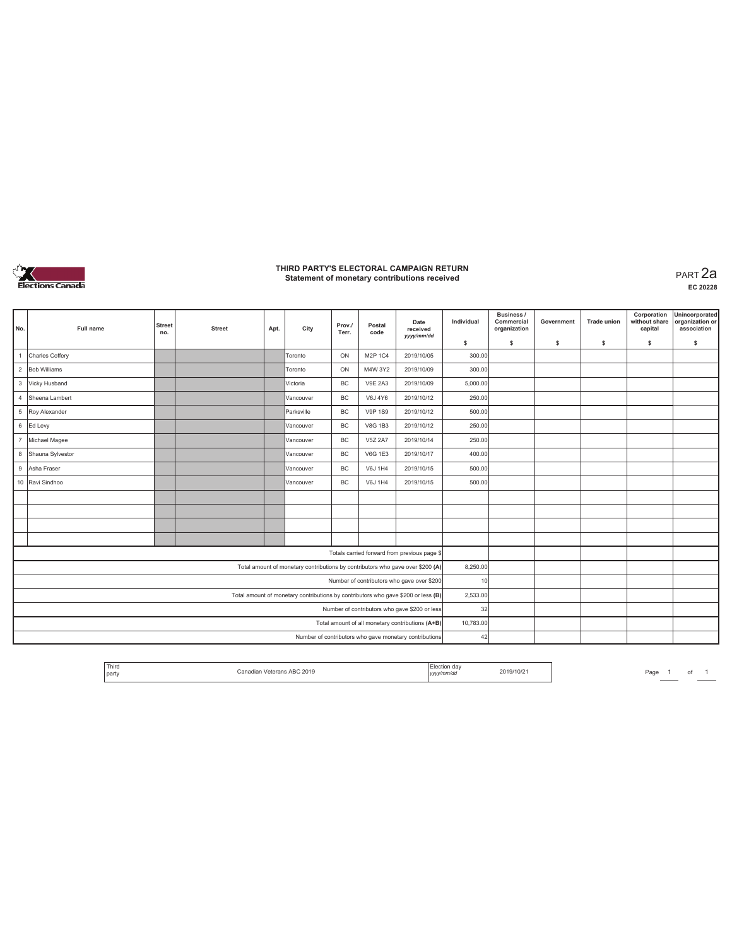

### **THIRD PARTY'S ELECTORAL CAMPAIGN RETURN Statement of monetary contributions received** PART 2a

**EC 20228**

| No.                                                                            | Full name                                                                         | <b>Street</b><br>no. | <b>Street</b> | Apt. | City      | Prov./<br>Terr. | Postal<br>code | Date<br>received<br>vyyy/mm/dd                         | Individual | Business /<br>Commercial<br>organization | Government | <b>Trade union</b> | Corporation<br>without share<br>capital | Unincorporated<br>organization or<br>association |
|--------------------------------------------------------------------------------|-----------------------------------------------------------------------------------|----------------------|---------------|------|-----------|-----------------|----------------|--------------------------------------------------------|------------|------------------------------------------|------------|--------------------|-----------------------------------------|--------------------------------------------------|
|                                                                                |                                                                                   |                      |               |      |           |                 |                |                                                        | \$         | s                                        | \$         | s                  | \$                                      | s                                                |
|                                                                                | Charles Coffery                                                                   |                      |               |      | Toronto   | ON              | M2P 1C4        | 2019/10/05                                             | 300.00     |                                          |            |                    |                                         |                                                  |
|                                                                                | 2 Bob Williams                                                                    |                      |               |      | Toronto   | ON              | M4W 3Y2        | 2019/10/09                                             | 300.00     |                                          |            |                    |                                         |                                                  |
|                                                                                | 3 Vicky Husband                                                                   |                      |               |      | Victoria  | <b>BC</b>       | <b>V9E 2A3</b> | 2019/10/09                                             | 5,000.00   |                                          |            |                    |                                         |                                                  |
| $\overline{4}$                                                                 | Sheena Lambert                                                                    |                      |               |      | Vancouver | <b>BC</b>       | V6J 4Y6        | 2019/10/12                                             | 250.00     |                                          |            |                    |                                         |                                                  |
|                                                                                | <b>V9P 1S9</b><br>2019/10/12<br>5 Roy Alexander<br>BC<br>Parksville               |                      |               |      |           |                 | 500.00         |                                                        |            |                                          |            |                    |                                         |                                                  |
|                                                                                | 6 Ed Levy                                                                         |                      |               |      | Vancouver | <b>BC</b>       | <b>V8G 1B3</b> | 2019/10/12                                             | 250.00     |                                          |            |                    |                                         |                                                  |
| $\overline{7}$                                                                 | Michael Magee<br><b>BC</b><br><b>V5Z 2A7</b><br>2019/10/14<br>Vancouver           |                      |               |      |           |                 | 250.00         |                                                        |            |                                          |            |                    |                                         |                                                  |
|                                                                                | 8 Shauna Sylvestor<br><b>BC</b><br><b>V6G 1E3</b><br>2019/10/17<br>Vancouver      |                      |               |      |           | 400.00          |                |                                                        |            |                                          |            |                    |                                         |                                                  |
| 9                                                                              | <b>BC</b><br>Asha Fraser<br>V6J 1H4<br>2019/10/15<br>Vancouver                    |                      |               |      | 500.00    |                 |                |                                                        |            |                                          |            |                    |                                         |                                                  |
|                                                                                | 10 Ravi Sindhoo                                                                   |                      |               |      | Vancouver | <b>BC</b>       | V6J 1H4        | 2019/10/15                                             | 500.00     |                                          |            |                    |                                         |                                                  |
|                                                                                |                                                                                   |                      |               |      |           |                 |                |                                                        |            |                                          |            |                    |                                         |                                                  |
|                                                                                |                                                                                   |                      |               |      |           |                 |                |                                                        |            |                                          |            |                    |                                         |                                                  |
|                                                                                |                                                                                   |                      |               |      |           |                 |                |                                                        |            |                                          |            |                    |                                         |                                                  |
|                                                                                |                                                                                   |                      |               |      |           |                 |                |                                                        |            |                                          |            |                    |                                         |                                                  |
|                                                                                |                                                                                   |                      |               |      |           |                 |                | Totals carried forward from previous page \$           |            |                                          |            |                    |                                         |                                                  |
| Total amount of monetary contributions by contributors who gave over \$200 (A) |                                                                                   |                      |               |      |           | 8,250.00        |                |                                                        |            |                                          |            |                    |                                         |                                                  |
|                                                                                | Number of contributors who gave over \$200                                        |                      |               |      |           |                 |                | 10                                                     |            |                                          |            |                    |                                         |                                                  |
|                                                                                | Total amount of monetary contributions by contributors who gave \$200 or less (B) |                      |               |      |           |                 |                |                                                        | 2,533.00   |                                          |            |                    |                                         |                                                  |
|                                                                                | Number of contributors who gave \$200 or less                                     |                      |               |      |           |                 |                |                                                        | 32         |                                          |            |                    |                                         |                                                  |
|                                                                                |                                                                                   |                      |               |      |           |                 |                | Total amount of all monetary contributions (A+B)       | 10,783.00  |                                          |            |                    |                                         |                                                  |
|                                                                                |                                                                                   |                      |               |      |           |                 |                | Number of contributors who gave monetary contributions | 42         |                                          |            |                    |                                         |                                                  |

| Third<br>and the continue of<br>Election day<br>2019/10/2<br>2019<br>0.000<br>---<br><b>barty</b><br>yyyy/mm/dd |
|-----------------------------------------------------------------------------------------------------------------|
|-----------------------------------------------------------------------------------------------------------------|

*Page* 1 of 1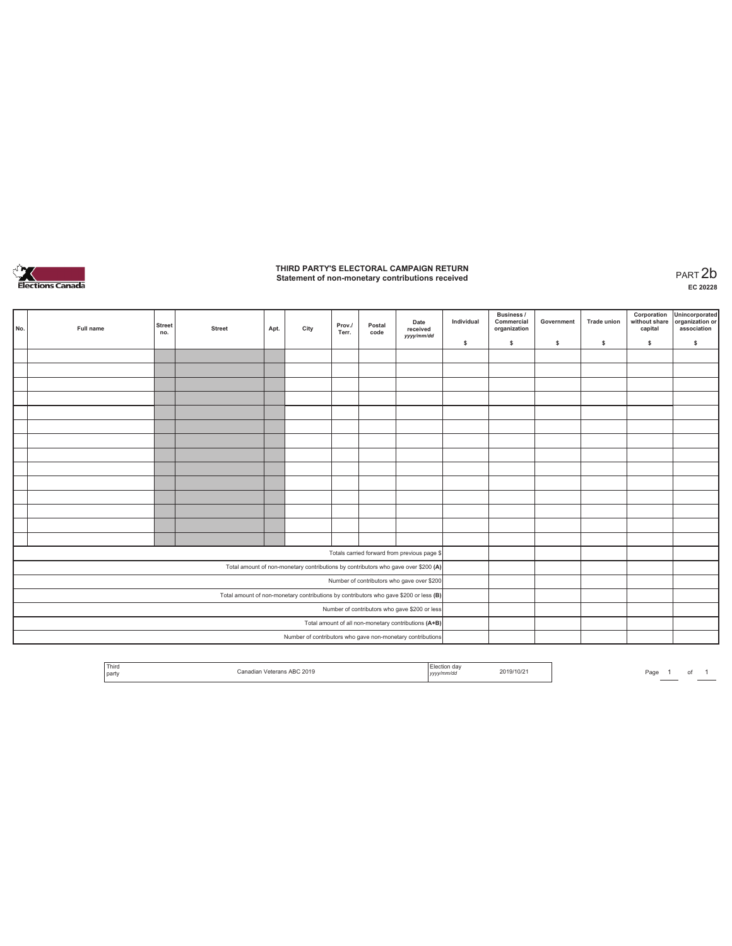

# **THIRD PARTY'S ELECTORAL CAMPAIGN RETURN Statement of non-monetary contributions received** PART 2b

**EC 20228**

| No. | Full name                                                                             | <b>Street</b><br>no. | <b>Street</b> | Apt. | City | Prov./<br>Terr. | Postal<br>code | Date<br>received<br>yyyy/mm/dd                                                     | Individual | <b>Business /</b><br>Commercial<br>organization | Government | <b>Trade union</b> | Corporation<br>without share<br>capital | Unincorporated<br>organization or<br>association |
|-----|---------------------------------------------------------------------------------------|----------------------|---------------|------|------|-----------------|----------------|------------------------------------------------------------------------------------|------------|-------------------------------------------------|------------|--------------------|-----------------------------------------|--------------------------------------------------|
|     |                                                                                       |                      |               |      |      |                 |                |                                                                                    | \$         | $\mathbb S$                                     | \$.        | \$                 | \$                                      | \$                                               |
|     |                                                                                       |                      |               |      |      |                 |                |                                                                                    |            |                                                 |            |                    |                                         |                                                  |
|     |                                                                                       |                      |               |      |      |                 |                |                                                                                    |            |                                                 |            |                    |                                         |                                                  |
|     |                                                                                       |                      |               |      |      |                 |                |                                                                                    |            |                                                 |            |                    |                                         |                                                  |
|     |                                                                                       |                      |               |      |      |                 |                |                                                                                    |            |                                                 |            |                    |                                         |                                                  |
|     |                                                                                       |                      |               |      |      |                 |                |                                                                                    |            |                                                 |            |                    |                                         |                                                  |
|     |                                                                                       |                      |               |      |      |                 |                |                                                                                    |            |                                                 |            |                    |                                         |                                                  |
|     |                                                                                       |                      |               |      |      |                 |                |                                                                                    |            |                                                 |            |                    |                                         |                                                  |
|     |                                                                                       |                      |               |      |      |                 |                |                                                                                    |            |                                                 |            |                    |                                         |                                                  |
|     |                                                                                       |                      |               |      |      |                 |                |                                                                                    |            |                                                 |            |                    |                                         |                                                  |
|     |                                                                                       |                      |               |      |      |                 |                |                                                                                    |            |                                                 |            |                    |                                         |                                                  |
|     |                                                                                       |                      |               |      |      |                 |                |                                                                                    |            |                                                 |            |                    |                                         |                                                  |
|     |                                                                                       |                      |               |      |      |                 |                |                                                                                    |            |                                                 |            |                    |                                         |                                                  |
|     |                                                                                       |                      |               |      |      |                 |                |                                                                                    |            |                                                 |            |                    |                                         |                                                  |
|     |                                                                                       |                      |               |      |      |                 |                |                                                                                    |            |                                                 |            |                    |                                         |                                                  |
|     |                                                                                       |                      |               |      |      |                 |                | Totals carried forward from previous page \$                                       |            |                                                 |            |                    |                                         |                                                  |
|     |                                                                                       |                      |               |      |      |                 |                | Total amount of non-monetary contributions by contributors who gave over \$200 (A) |            |                                                 |            |                    |                                         |                                                  |
|     | Number of contributors who gave over \$200                                            |                      |               |      |      |                 |                |                                                                                    |            |                                                 |            |                    |                                         |                                                  |
|     | Total amount of non-monetary contributions by contributors who gave \$200 or less (B) |                      |               |      |      |                 |                |                                                                                    |            |                                                 |            |                    |                                         |                                                  |
|     | Number of contributors who gave \$200 or less                                         |                      |               |      |      |                 |                |                                                                                    |            |                                                 |            |                    |                                         |                                                  |
|     |                                                                                       |                      |               |      |      |                 |                | Total amount of all non-monetary contributions (A+B)                               |            |                                                 |            |                    |                                         |                                                  |
|     |                                                                                       |                      |               |      |      |                 |                | Number of contributors who gave non-monetary contributions                         |            |                                                 |            |                    |                                         |                                                  |

| Third<br>the control of the con- | s ABC 2019<br>Panadian <i>Watarana</i> | ua<br>LICUULI       | 2019/10/21 | Page |  |  |
|----------------------------------|----------------------------------------|---------------------|------------|------|--|--|
| party                            |                                        | <i>annu</i><br>yyyy |            |      |  |  |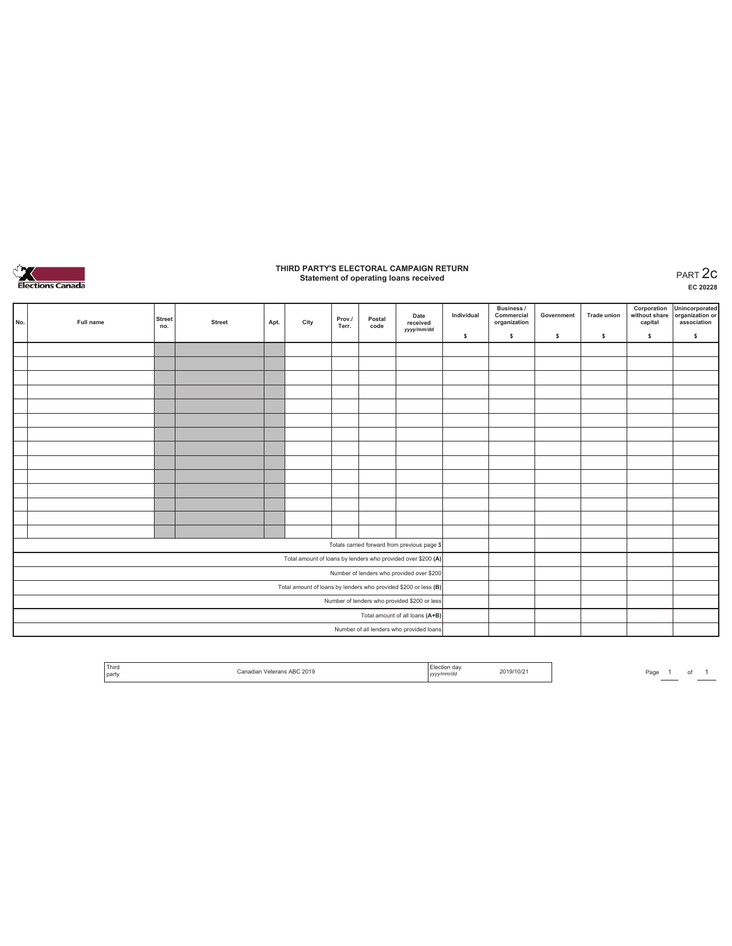

## **THIRD PARTY'S ELECTORAL CAMPAIGN RETURN Statement of operating loans received** PART 2c

**EC 20228**

|  | No.                                                             | Full name | <b>Street</b><br>no. | <b>Street</b> | Apt. | City | Prov./<br>Terr. | Postal<br>code | Date<br>received<br>yyyy/mm/dd               | Individual | <b>Business /</b><br>Commercial<br>organization | Government | Trade union | Corporation<br>without share<br>capital | Unincorporated<br>organization or<br>association |
|--|-----------------------------------------------------------------|-----------|----------------------|---------------|------|------|-----------------|----------------|----------------------------------------------|------------|-------------------------------------------------|------------|-------------|-----------------------------------------|--------------------------------------------------|
|  |                                                                 |           |                      |               |      |      |                 |                |                                              | \$         | $\mathbb{S}$                                    | s          | s           | \$                                      | $\mathbb S$                                      |
|  |                                                                 |           |                      |               |      |      |                 |                |                                              |            |                                                 |            |             |                                         |                                                  |
|  |                                                                 |           |                      |               |      |      |                 |                |                                              |            |                                                 |            |             |                                         |                                                  |
|  |                                                                 |           |                      |               |      |      |                 |                |                                              |            |                                                 |            |             |                                         |                                                  |
|  |                                                                 |           |                      |               |      |      |                 |                |                                              |            |                                                 |            |             |                                         |                                                  |
|  |                                                                 |           |                      |               |      |      |                 |                |                                              |            |                                                 |            |             |                                         |                                                  |
|  |                                                                 |           |                      |               |      |      |                 |                |                                              |            |                                                 |            |             |                                         |                                                  |
|  |                                                                 |           |                      |               |      |      |                 |                |                                              |            |                                                 |            |             |                                         |                                                  |
|  |                                                                 |           |                      |               |      |      |                 |                |                                              |            |                                                 |            |             |                                         |                                                  |
|  |                                                                 |           |                      |               |      |      |                 |                |                                              |            |                                                 |            |             |                                         |                                                  |
|  |                                                                 |           |                      |               |      |      |                 |                |                                              |            |                                                 |            |             |                                         |                                                  |
|  |                                                                 |           |                      |               |      |      |                 |                |                                              |            |                                                 |            |             |                                         |                                                  |
|  |                                                                 |           |                      |               |      |      |                 |                |                                              |            |                                                 |            |             |                                         |                                                  |
|  |                                                                 |           |                      |               |      |      |                 |                |                                              |            |                                                 |            |             |                                         |                                                  |
|  |                                                                 |           |                      |               |      |      |                 |                |                                              |            |                                                 |            |             |                                         |                                                  |
|  |                                                                 |           |                      |               |      |      |                 |                | Totals carried forward from previous page \$ |            |                                                 |            |             |                                         |                                                  |
|  | Total amount of loans by lenders who provided over \$200 (A)    |           |                      |               |      |      |                 |                |                                              |            |                                                 |            |             |                                         |                                                  |
|  | Number of lenders who provided over \$200                       |           |                      |               |      |      |                 |                |                                              |            |                                                 |            |             |                                         |                                                  |
|  | Total amount of loans by lenders who provided \$200 or less (B) |           |                      |               |      |      |                 |                |                                              |            |                                                 |            |             |                                         |                                                  |
|  | Number of lenders who provided \$200 or less                    |           |                      |               |      |      |                 |                |                                              |            |                                                 |            |             |                                         |                                                  |
|  |                                                                 |           |                      |               |      |      |                 |                | Total amount of all loans (A+B)              |            |                                                 |            |             |                                         |                                                  |
|  |                                                                 |           |                      |               |      |      |                 |                | Number of all lenders who provided loans     |            |                                                 |            |             |                                         |                                                  |

| ' Third                                      | Veterans ABC 2019<br>`onodic | . Election dav | 2019/10/21 |
|----------------------------------------------|------------------------------|----------------|------------|
| and the control of the control of<br>l party | нашаг                        | yyyy/mm/dd     |            |
|                                              |                              |                |            |

Page  $1$  of  $1$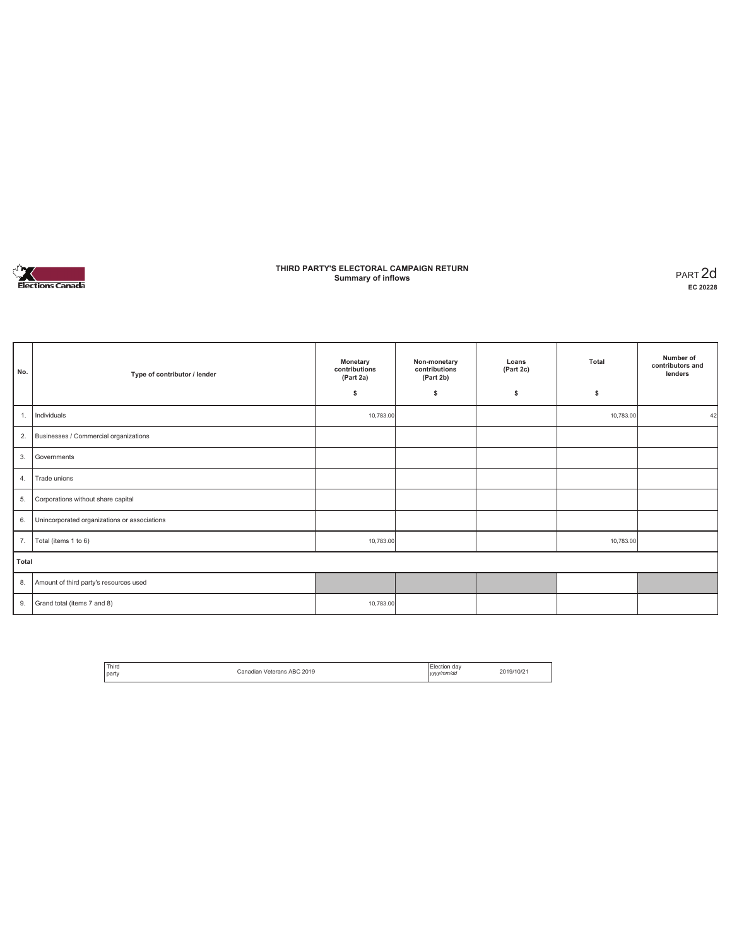

### **THIRD PARTY'S ELECTORAL CAMPAIGN RETURN Summary of inflows** PART 2d

**EC 20228**

| No.   | Type of contributor / lender                 | Monetary<br>contributions<br>(Part 2a) | Non-monetary<br>contributions<br>(Part 2b) | Loans<br>(Part 2c) | Total     | Number of<br>contributors and<br>lenders |
|-------|----------------------------------------------|----------------------------------------|--------------------------------------------|--------------------|-----------|------------------------------------------|
|       |                                              | \$                                     | \$                                         | \$                 | \$        |                                          |
| 1.    | Individuals                                  | 10,783.00                              |                                            |                    | 10,783.00 | 42                                       |
| 2.    | Businesses / Commercial organizations        |                                        |                                            |                    |           |                                          |
| 3.    | Governments                                  |                                        |                                            |                    |           |                                          |
| 4.    | Trade unions                                 |                                        |                                            |                    |           |                                          |
| 5.    | Corporations without share capital           |                                        |                                            |                    |           |                                          |
| 6.    | Unincorporated organizations or associations |                                        |                                            |                    |           |                                          |
| 7.    | Total (items 1 to 6)                         | 10,783.00                              |                                            |                    | 10,783.00 |                                          |
| Total |                                              |                                        |                                            |                    |           |                                          |
| 8.    | Amount of third party's resources used       |                                        |                                            |                    |           |                                          |
| 9.    | Grand total (items 7 and 8)                  | 10,783.00                              |                                            |                    |           |                                          |

| <sup>1</sup> Third | Veterans ABC 2019 | Flection day | 2019/10/2 |
|--------------------|-------------------|--------------|-----------|
| l party            | Canadian          | yyyy/mm/dd   |           |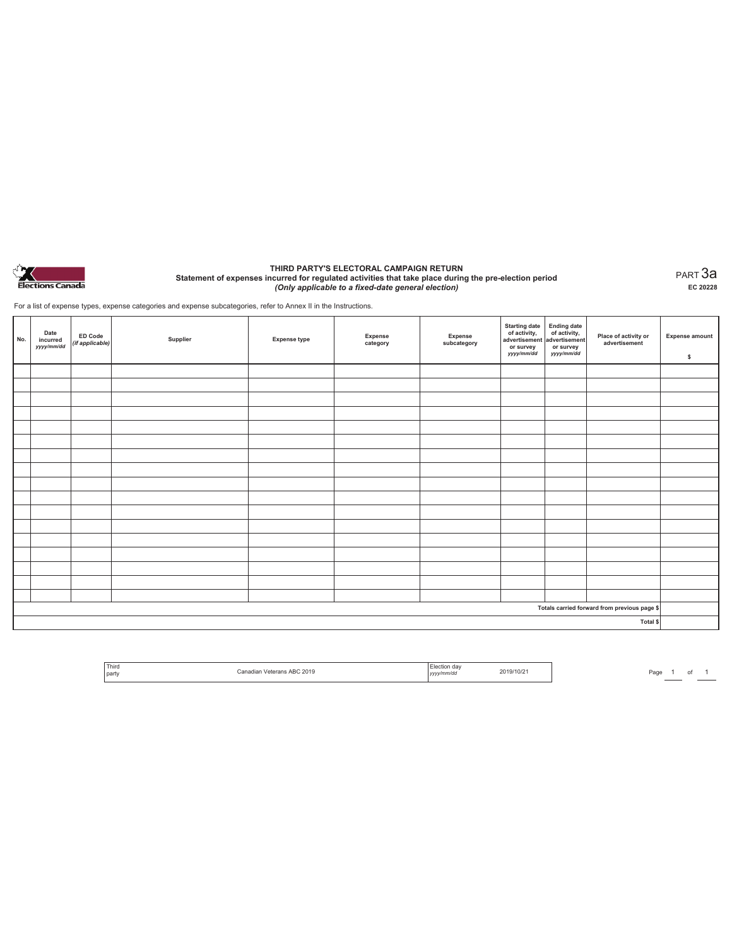

#### **THIRD PARTY'S ELECTORAL CAMPAIGN RETURN Statement of expenses incurred for regulated activities that take place during the pre-election period**  *(Only applicable to a fixed-date general election)*

PART 3a **EC 20228**

For a list of expense types, expense categories and expense subcategories, refer to Annex II in the Instructions.

| No. | Date<br>incurred<br>yyyy/mm/dd | ED Code<br>(if applicable) | Supplier | <b>Expense type</b> | Expense<br>category | Expense<br>subcategory | Starting date<br>of activity,<br>advertisement<br>advertisement<br>dvertisement<br>or survey<br>yyyy/mm/dd | or survey<br>yyyy/mm/dd | Place of activity or<br>advertisement        | <b>Expense amount</b><br>\$ |  |
|-----|--------------------------------|----------------------------|----------|---------------------|---------------------|------------------------|------------------------------------------------------------------------------------------------------------|-------------------------|----------------------------------------------|-----------------------------|--|
|     |                                |                            |          |                     |                     |                        |                                                                                                            |                         |                                              |                             |  |
|     |                                |                            |          |                     |                     |                        |                                                                                                            |                         |                                              |                             |  |
|     |                                |                            |          |                     |                     |                        |                                                                                                            |                         |                                              |                             |  |
|     |                                |                            |          |                     |                     |                        |                                                                                                            |                         |                                              |                             |  |
|     |                                |                            |          |                     |                     |                        |                                                                                                            |                         |                                              |                             |  |
|     |                                |                            |          |                     |                     |                        |                                                                                                            |                         |                                              |                             |  |
|     |                                |                            |          |                     |                     |                        |                                                                                                            |                         |                                              |                             |  |
|     |                                |                            |          |                     |                     |                        |                                                                                                            |                         |                                              |                             |  |
|     |                                |                            |          |                     |                     |                        |                                                                                                            |                         |                                              |                             |  |
|     |                                |                            |          |                     |                     |                        |                                                                                                            |                         |                                              |                             |  |
|     |                                |                            |          |                     |                     |                        |                                                                                                            |                         |                                              |                             |  |
|     |                                |                            |          |                     |                     |                        |                                                                                                            |                         |                                              |                             |  |
|     |                                |                            |          |                     |                     |                        |                                                                                                            |                         |                                              |                             |  |
|     |                                |                            |          |                     |                     |                        |                                                                                                            |                         |                                              |                             |  |
|     |                                |                            |          |                     |                     |                        |                                                                                                            |                         |                                              |                             |  |
|     |                                |                            |          |                     |                     |                        |                                                                                                            |                         |                                              |                             |  |
|     |                                |                            |          |                     |                     |                        |                                                                                                            |                         |                                              |                             |  |
|     |                                |                            |          |                     |                     |                        |                                                                                                            |                         | Totals carried forward from previous page \$ |                             |  |
|     |                                |                            |          |                     |                     |                        |                                                                                                            |                         | Total \$                                     |                             |  |

| Third<br>party | : AR(<br>C 2019<br>. | dav<br>v/mm/da<br>,,,, | 19/10/2 |
|----------------|----------------------|------------------------|---------|
|                |                      |                        |         |

Page  $\frac{1}{\phantom{1}}$  of  $\frac{1}{\phantom{1}}$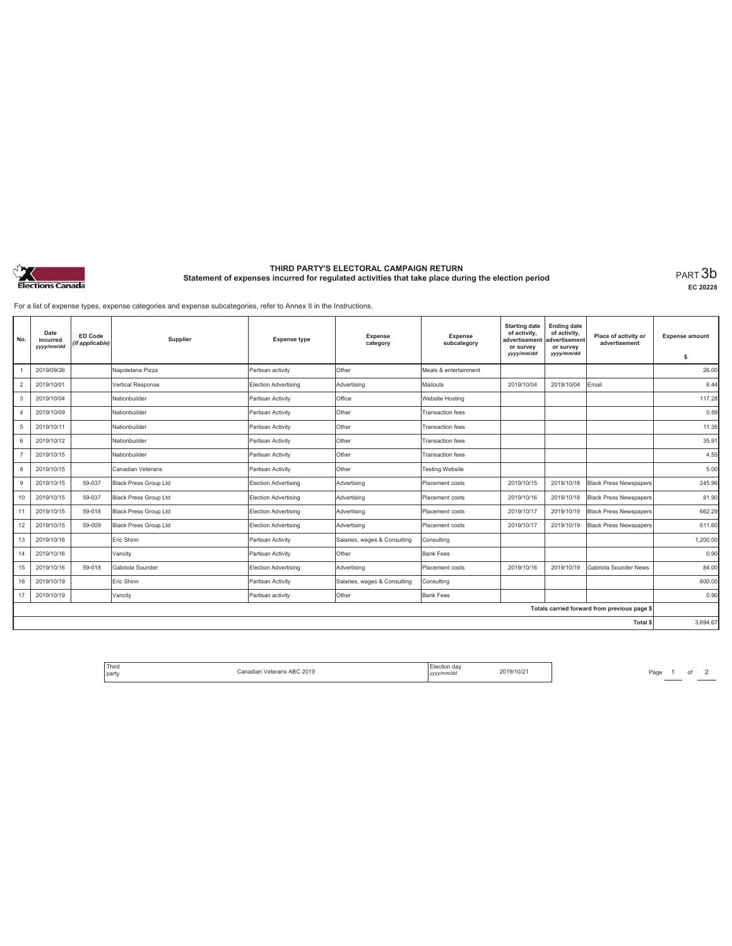

# **THIRD PARTY'S ELECTORAL CAMPAIGN RETURN Statement of expenses incurred for regulated activities that take place during the election period** PART 3b

**EC 20228**

For a list of expense types, expense categories and expense subcategories, refer to Annex II in the Instructions.

| No.            | Date<br>incurred<br>yyyy/mm/dd | ED Code<br>(if applicable) | Supplier              | <b>Expense type</b>         | <b>Expense</b><br>category   | <b>Expense</b><br>subcategory | <b>Starting date</b><br>of activity,<br>advertisement<br>or survey<br>yyyy/mm/dd | <b>Ending date</b><br>of activity,<br>advertisement<br>or survey<br>yyyy/mm/dd | Place of activity or<br>advertisement        | <b>Expense amount</b><br>\$ |
|----------------|--------------------------------|----------------------------|-----------------------|-----------------------------|------------------------------|-------------------------------|----------------------------------------------------------------------------------|--------------------------------------------------------------------------------|----------------------------------------------|-----------------------------|
|                | 2019/09/26                     |                            | Napoletana Pizza      | Partisan activity           | Other                        | Meals & entertainment         |                                                                                  |                                                                                |                                              | 26.00                       |
| $\overline{2}$ | 2019/10/01                     |                            | Vertical Response     | Election Advertising        | Advertising                  | Mailouts                      | 2019/10/04                                                                       | 2019/10/04                                                                     | Email                                        | 6.44                        |
| 3              | 2019/10/04                     |                            | Nationbuilder         | Partisan Activity           | Office                       | Website Hosting               |                                                                                  |                                                                                |                                              | 117.28                      |
| $\overline{4}$ | 2019/10/09                     |                            | Nationbuilder         | Partisan Activity           | Other                        | <b>Transaction fees</b>       |                                                                                  |                                                                                |                                              | 0.59                        |
| 5              | 2019/10/11                     |                            | Nationbuilder         | Partisan Activity           | Other                        | <b>Transaction fees</b>       |                                                                                  |                                                                                |                                              | 11.35                       |
| 6              | 2019/10/12                     |                            | Nationbuilder         | Partisan Activity           | Other                        | <b>Transaction fees</b>       |                                                                                  |                                                                                |                                              | 35.91                       |
| $\overline{7}$ | 2019/10/15                     |                            | Nationbuilder         | Partisan Activity           | Other                        | <b>Transaction fees</b>       |                                                                                  |                                                                                |                                              | 4.55                        |
| 8              | 2019/10/15                     |                            | Canadian Veterans     | Partisan Activity           | Other                        | <b>Testing Website</b>        |                                                                                  |                                                                                |                                              | 5.00                        |
| 9              | 2019/10/15                     | 59-037                     | Black Press Group Ltd | <b>Election Advertising</b> | Advertising                  | Placement costs               | 2019/10/15                                                                       | 2019/10/18                                                                     | <b>Black Press Newspapers</b>                | 245.96                      |
| 10             | 2019/10/15                     | 59-037                     | Black Press Group Ltd | Election Advertising        | Advertising                  | Placement costs               | 2019/10/16                                                                       | 2019/10/18                                                                     | <b>Black Press Newspapers</b>                | 81.90                       |
| 11             | 2019/10/15                     | 59-018                     | Black Press Group Ltd | <b>Election Advertising</b> | Advertising                  | Placement costs               | 2019/10/17                                                                       | 2019/10/19                                                                     | <b>Black Press Newspapers</b>                | 662.29                      |
| 12             | 2019/10/15                     | 59-009                     | Black Press Group Ltd | <b>Election Advertising</b> | Advertising                  | Placement costs               | 2019/10/17                                                                       | 2019/10/19                                                                     | <b>Black Press Newspapers</b>                | 611.60                      |
| 13             | 2019/10/16                     |                            | Eric Shinn            | Partisan Activity           | Salaries, wages & Consulting | Consulting                    |                                                                                  |                                                                                |                                              | 1.200.00                    |
| 14             | 2019/10/16                     |                            | Vancity               | Partisan Activity           | Other                        | Bank Fees                     |                                                                                  |                                                                                |                                              | 0.90                        |
| 15             | 2019/10/16                     | 59-018                     | Gabriola Sounder      | Election Advertising        | Advertising                  | Placement costs               | 2019/10/16                                                                       | 2019/10/19                                                                     | Gabriola Sounder News                        | 84.00                       |
| 16             | 2019/10/19                     |                            | Eric Shinn            | Partisan Activity           | Salaries, wages & Consulting | Consulting                    |                                                                                  |                                                                                |                                              | 600.00                      |
| 17             | 2019/10/19                     |                            | Vancity               | Partisan activity           | Other                        | Bank Fees                     |                                                                                  |                                                                                |                                              | 0.90                        |
|                |                                |                            |                       |                             |                              |                               |                                                                                  |                                                                                | Totals carried forward from previous page \$ |                             |
|                |                                |                            |                       |                             |                              |                               |                                                                                  |                                                                                | Total \$                                     | 3.694.67                    |

| <sup>1</sup> Third |                            | Election dav       |           |
|--------------------|----------------------------|--------------------|-----------|
| l party            | Canadian Veterans ABC 2019 | vvvv/mm/dd<br>,,,, | 2019/10/2 |

Page  $1$  of  $2$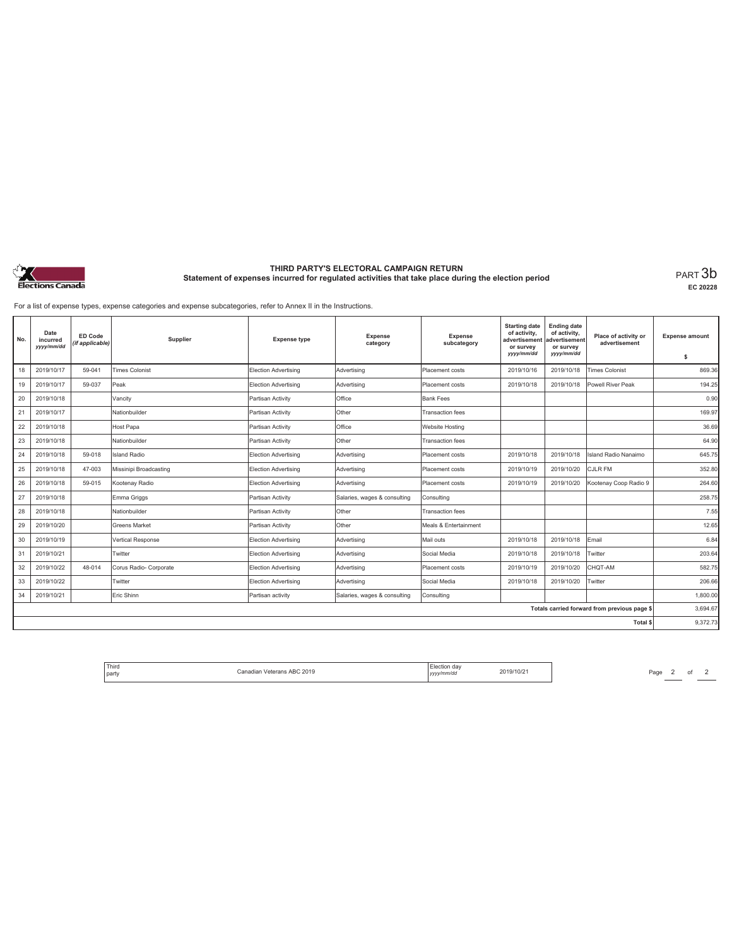

# **THIRD PARTY'S ELECTORAL CAMPAIGN RETURN Statement of expenses incurred for regulated activities that take place during the election period** PART 3b

**EC 20228**

For a list of expense types, expense categories and expense subcategories, refer to Annex II in the Instructions.

| No. | Date<br>incurred<br>yyyy/mm/dd | ED Code<br>(if applicable) | Supplier               | <b>Expense type</b>         | <b>Expense</b><br>category   | <b>Expense</b><br>subcategory | <b>Starting date</b><br>of activity,<br>advertisement<br>or survey<br>yyyy/mm/dd | <b>Ending date</b><br>of activity,<br>advertisement<br>or survey<br>yyyy/mm/dd | Place of activity or<br>advertisement        | <b>Expense amount</b><br>\$ |
|-----|--------------------------------|----------------------------|------------------------|-----------------------------|------------------------------|-------------------------------|----------------------------------------------------------------------------------|--------------------------------------------------------------------------------|----------------------------------------------|-----------------------------|
|     | 2019/10/17                     |                            | <b>Times Colonist</b>  |                             |                              |                               | 2019/10/16                                                                       |                                                                                |                                              | 869.36                      |
| 18  |                                | 59-041                     |                        | <b>Election Advertising</b> | Advertising                  | Placement costs               |                                                                                  | 2019/10/18                                                                     | <b>Times Colonist</b>                        |                             |
| 19  | 2019/10/17                     | 59-037                     | Peak                   | Election Advertising        | Advertising                  | Placement costs               | 2019/10/18                                                                       | 2019/10/18                                                                     | Powell River Peak                            | 194.25                      |
| 20  | 2019/10/18                     |                            | Vancity                | Partisan Activity           | Office                       | <b>Bank Fees</b>              |                                                                                  |                                                                                |                                              | 0.90                        |
| 21  | 2019/10/17                     |                            | Nationbuilder          | Partisan Activity           | Other                        | Transaction fees              |                                                                                  |                                                                                |                                              | 169.97                      |
| 22  | 2019/10/18                     |                            | Host Papa              | Partisan Activity           | Office                       | Website Hosting               |                                                                                  |                                                                                |                                              | 36.69                       |
| 23  | 2019/10/18                     |                            | Nationbuilder          | Partisan Activity           | Other                        | Transaction fees              |                                                                                  |                                                                                |                                              | 64.90                       |
| 24  | 2019/10/18                     | 59-018                     | <b>Island Radio</b>    | Election Advertising        | Advertising                  | Placement costs               | 2019/10/18                                                                       | 2019/10/18                                                                     | Island Radio Nanaimo                         | 645.75                      |
| 25  | 2019/10/18                     | 47-003                     | Missinipi Broadcasting | Election Advertising        | Advertising                  | Placement costs               | 2019/10/19                                                                       | 2019/10/20                                                                     | CJLR FM                                      | 352.80                      |
| 26  | 2019/10/18                     | 59-015                     | Kootenav Radio         | Election Advertising        | Advertising                  | Placement costs               | 2019/10/19                                                                       | 2019/10/20                                                                     | Kootenay Coop Radio 9                        | 264.60                      |
| 27  | 2019/10/18                     |                            | Emma Griggs            | Partisan Activity           | Salaries, wages & consulting | Consultina                    |                                                                                  |                                                                                |                                              | 258.75                      |
| 28  | 2019/10/18                     |                            | Nationbuilder          | Partisan Activity           | Other                        | Transaction fees              |                                                                                  |                                                                                |                                              | 7.55                        |
| 29  | 2019/10/20                     |                            | Greens Market          | Partisan Activity           | Other                        | Meals & Entertainment         |                                                                                  |                                                                                |                                              | 12.65                       |
| 30  | 2019/10/19                     |                            | Vertical Response      | Election Advertising        | Advertising                  | Mail outs                     | 2019/10/18                                                                       | 2019/10/18                                                                     | Email                                        | 6.84                        |
| 31  | 2019/10/21                     |                            | Twitter                | Election Advertising        | Advertising                  | Social Media                  | 2019/10/18                                                                       | 2019/10/18                                                                     | Twitter                                      | 203.64                      |
| 32  | 2019/10/22                     | 48-014                     | Corus Radio- Corporate | Election Advertising        | Advertising                  | Placement costs               | 2019/10/19                                                                       | 2019/10/20                                                                     | CHQT-AM                                      | 582.75                      |
| 33  | 2019/10/22                     |                            | Twitter                | Election Advertising        | Advertising                  | Social Media                  | 2019/10/18                                                                       | 2019/10/20                                                                     | Twitter                                      | 206.66                      |
| 34  | 2019/10/21                     |                            | Eric Shinn             | Partisan activity           | Salaries, wages & consulting | Consulting                    |                                                                                  |                                                                                |                                              | 1.800.00                    |
|     |                                |                            |                        |                             |                              |                               |                                                                                  |                                                                                | Totals carried forward from previous page \$ | 3,694.67                    |
|     |                                |                            |                        |                             |                              |                               |                                                                                  |                                                                                | <b>Total \$</b>                              | 9.372.73                    |

| ' Third<br>.<br>  party | Canadian Veterans ABC 2019 | lection dav:<br>.<br>vvvv/mm/dd | 2019/10/21 |
|-------------------------|----------------------------|---------------------------------|------------|
|-------------------------|----------------------------|---------------------------------|------------|

Page  $2$  of  $2$